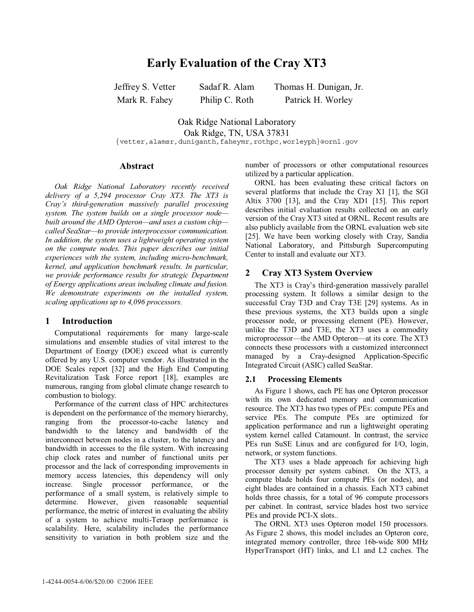# **Early Evaluation of the Cray XT3**

Jeffrey S. Vetter Sadaf R. Alam Thomas H. Dunigan, Jr. Mark R. Fahey Philip C. Roth Patrick H. Worley

Oak Ridge National Laboratory Oak Ridge, TN, USA 37831 {vetter,alamsr,duniganth,faheymr,rothpc,worleyph}@ornl.gov

## **Abstract**

*Oak Ridge National Laboratory recently received delivery of a 5,294 processor Cray XT3. The XT3 is Cray's third-generation massively parallel processing system. The system builds on a single processor node built around the AMD Opteron—and uses a custom chip called SeaStar—to provide interprocessor communication. In addition, the system uses a lightweight operating system on the compute nodes. This paper describes our initial experiences with the system, including micro-benchmark, kernel, and application benchmark results. In particular, we provide performance results for strategic Department of Energy applications areas including climate and fusion. We demonstrate experiments on the installed system, scaling applications up to 4,096 processors.* 

## **1 Introduction**

Computational requirements for many large-scale simulations and ensemble studies of vital interest to the Department of Energy (DOE) exceed what is currently offered by any U.S. computer vendor. As illustrated in the DOE Scales report [32] and the High End Computing Revitalization Task Force report [18], examples are numerous, ranging from global climate change research to combustion to biology.

Performance of the current class of HPC architectures is dependent on the performance of the memory hierarchy, ranging from the processor-to-cache latency and bandwidth to the latency and bandwidth of the interconnect between nodes in a cluster, to the latency and bandwidth in accesses to the file system. With increasing chip clock rates and number of functional units per processor and the lack of corresponding improvements in memory access latencies, this dependency will only increase. Single processor performance, or the performance of a small system, is relatively simple to determine. However, given reasonable sequential performance, the metric of interest in evaluating the ability of a system to achieve multi-Teraop performance is scalability. Here, scalability includes the performance sensitivity to variation in both problem size and the

number of processors or other computational resources utilized by a particular application.

ORNL has been evaluating these critical factors on several platforms that include the Cray X1 [1], the SGI Altix 3700 [13], and the Cray XD1 [15]. This report describes initial evaluation results collected on an early version of the Cray XT3 sited at ORNL. Recent results are also publicly available from the ORNL evaluation web site [25]. We have been working closely with Cray, Sandia National Laboratory, and Pittsburgh Supercomputing Center to install and evaluate our XT3.

## **2 Cray XT3 System Overview**

The XT3 is Cray's third-generation massively parallel processing system. It follows a similar design to the successful Cray T3D and Cray T3E [29] systems. As in these previous systems, the XT3 builds upon a single processor node, or processing element (PE). However, unlike the T3D and T3E, the XT3 uses a commodity microprocessor—the AMD Opteron—at its core. The XT3 connects these processors with a customized interconnect managed by a Cray-designed Application-Specific Integrated Circuit (ASIC) called SeaStar.

## **2.1 Processing Elements**

As Figure 1 shows, each PE has one Opteron processor with its own dedicated memory and communication resource. The XT3 has two types of PEs: compute PEs and service PEs. The compute PEs are optimized for application performance and run a lightweight operating system kernel called Catamount. In contrast, the service PEs run SuSE Linux and are configured for I/O, login, network, or system functions.

The XT3 uses a blade approach for achieving high processor density per system cabinet. On the XT3, a compute blade holds four compute PEs (or nodes), and eight blades are contained in a chassis. Each XT3 cabinet holds three chassis, for a total of 96 compute processors per cabinet. In contrast, service blades host two service PEs and provide PCI-X slots..

The ORNL XT3 uses Opteron model 150 processors. As Figure 2 shows, this model includes an Opteron core, integrated memory controller, three 16b-wide 800 MHz HyperTransport (HT) links, and L1 and L2 caches. The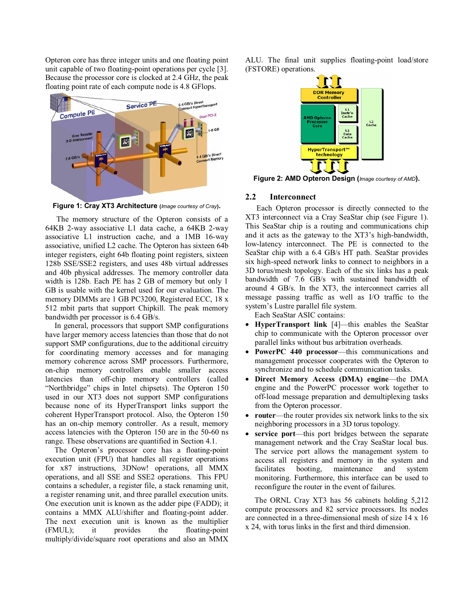Opteron core has three integer units and one floating point unit capable of two floating-point operations per cycle [3]. Because the processor core is clocked at 2.4 GHz, the peak floating point rate of each compute node is 4.8 GFlops.



**Figure 1: Cray XT3 Architecture (***Image courtesy of Cray***).**

 The memory structure of the Opteron consists of a 64KB 2-way associative L1 data cache, a 64KB 2-way associative L1 instruction cache, and a 1MB 16-way associative, unified L2 cache. The Opteron has sixteen 64b integer registers, eight 64b floating point registers, sixteen 128b SSE/SSE2 registers, and uses 48b virtual addresses and 40b physical addresses. The memory controller data width is 128b. Each PE has 2 GB of memory but only 1 GB is usable with the kernel used for our evaluation. The memory DIMMs are 1 GB PC3200, Registered ECC, 18 x 512 mbit parts that support Chipkill. The peak memory bandwidth per processor is 6.4 GB/s.

In general, processors that support SMP configurations have larger memory access latencies than those that do not support SMP configurations, due to the additional circuitry for coordinating memory accesses and for managing memory coherence across SMP processors. Furthermore, on-chip memory controllers enable smaller access latencies than off-chip memory controllers (called "Northbridge" chips in Intel chipsets). The Opteron 150 used in our XT3 does not support SMP configurations because none of its HyperTransport links support the coherent HyperTransport protocol. Also, the Opteron 150 has an on-chip memory controller. As a result, memory access latencies with the Opteron 150 are in the 50-60 ns range. These observations are quantified in Section 4.1.

The Opteron's processor core has a floating-point execution unit (FPU) that handles all register operations for x87 instructions, 3DNow! operations, all MMX operations, and all SSE and SSE2 operations. This FPU contains a scheduler, a register file, a stack renaming unit, a register renaming unit, and three parallel execution units. One execution unit is known as the adder pipe (FADD); it contains a MMX ALU/shifter and floating-point adder. The next execution unit is known as the multiplier (FMUL); it provides the floating-point multiply/divide/square root operations and also an MMX

ALU. The final unit supplies floating-point load/store (FSTORE) operations.



**Figure 2: AMD Opteron Design (***Image courtesy of AMD***).**

## **2.2 Interconnect**

 Each Opteron processor is directly connected to the XT3 interconnect via a Cray SeaStar chip (see Figure 1). This SeaStar chip is a routing and communications chip and it acts as the gateway to the XT3's high-bandwidth, low-latency interconnect. The PE is connected to the SeaStar chip with a 6.4 GB/s HT path. SeaStar provides six high-speed network links to connect to neighbors in a 3D torus/mesh topology. Each of the six links has a peak bandwidth of 7.6 GB/s with sustained bandwidth of around 4 GB/s. In the XT3, the interconnect carries all message passing traffic as well as I/O traffic to the system's Lustre parallel file system.

Each SeaStar ASIC contains:

- **HyperTransport link** [4]—this enables the SeaStar chip to communicate with the Opteron processor over parallel links without bus arbitration overheads.
- **PowerPC 440 processor**—this communications and management processor cooperates with the Opteron to synchronize and to schedule communication tasks.
- **Direct Memory Access (DMA) engine**—the DMA engine and the PowerPC processor work together to off-load message preparation and demultiplexing tasks from the Opteron processor.
- **router**—the router provides six network links to the six neighboring processors in a 3D torus topology.
- service port—this port bridges between the separate management network and the Cray SeaStar local bus. The service port allows the management system to access all registers and memory in the system and facilitates booting, maintenance and system monitoring. Furthermore, this interface can be used to reconfigure the router in the event of failures.

The ORNL Cray XT3 has 56 cabinets holding 5,212 compute processors and 82 service processors. Its nodes are connected in a three-dimensional mesh of size 14 x 16 x 24, with torus links in the first and third dimension.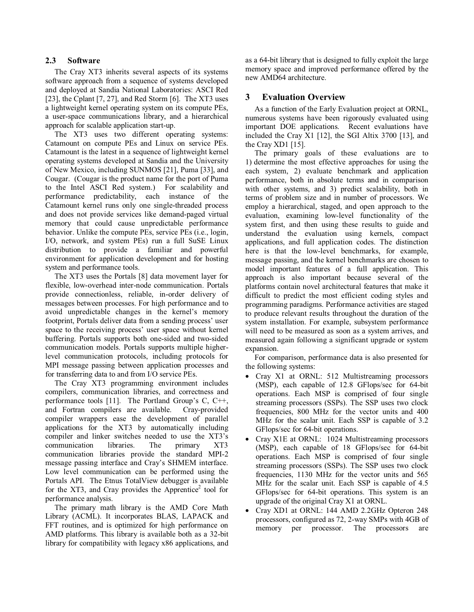## **2.3 Software**

The Cray XT3 inherits several aspects of its systems software approach from a sequence of systems developed and deployed at Sandia National Laboratories: ASCI Red [23], the Cplant [7, 27], and Red Storm [6]. The XT3 uses a lightweight kernel operating system on its compute PEs, a user-space communications library, and a hierarchical approach for scalable application start-up.

The XT3 uses two different operating systems: Catamount on compute PEs and Linux on service PEs. Catamount is the latest in a sequence of lightweight kernel operating systems developed at Sandia and the University of New Mexico, including SUNMOS [21], Puma [33], and Cougar. (Cougar is the product name for the port of Puma to the Intel ASCI Red system.) For scalability and performance predictability, each instance of the Catamount kernel runs only one single-threaded process and does not provide services like demand-paged virtual memory that could cause unpredictable performance behavior. Unlike the compute PEs, service PEs (i.e., login, I/O, network, and system PEs) run a full SuSE Linux distribution to provide a familiar and powerful environment for application development and for hosting system and performance tools.

The XT3 uses the Portals [8] data movement layer for flexible, low-overhead inter-node communication. Portals provide connectionless, reliable, in-order delivery of messages between processes. For high performance and to avoid unpredictable changes in the kernel's memory footprint, Portals deliver data from a sending process' user space to the receiving process' user space without kernel buffering. Portals supports both one-sided and two-sided communication models. Portals supports multiple higherlevel communication protocols, including protocols for MPI message passing between application processes and for transferring data to and from I/O service PEs.

The Cray XT3 programming environment includes compilers, communication libraries, and correctness and performance tools [11]. The Portland Group's C, C++, and Fortran compilers are available. Cray-provided compiler wrappers ease the development of parallel applications for the XT3 by automatically including compiler and linker switches needed to use the XT3's communication libraries. The primary XT3 communication libraries provide the standard MPI-2 message passing interface and Cray's SHMEM interface. Low level communication can be performed using the Portals API. The Etnus TotalView debugger is available for the XT3, and Cray provides the Apprentice<sup>2</sup> tool for performance analysis.

The primary math library is the AMD Core Math Library (ACML). It incorporates BLAS, LAPACK and FFT routines, and is optimized for high performance on AMD platforms. This library is available both as a 32-bit library for compatibility with legacy x86 applications, and as a 64-bit library that is designed to fully exploit the large memory space and improved performance offered by the new AMD64 architecture.

## **3 Evaluation Overview**

As a function of the Early Evaluation project at ORNL, numerous systems have been rigorously evaluated using important DOE applications. Recent evaluations have included the Cray X1 [12], the SGI Altix 3700 [13], and the Cray XD1 [15].

The primary goals of these evaluations are to 1) determine the most effective approaches for using the each system, 2) evaluate benchmark and application performance, both in absolute terms and in comparison with other systems, and 3) predict scalability, both in terms of problem size and in number of processors. We employ a hierarchical, staged, and open approach to the evaluation, examining low-level functionality of the system first, and then using these results to guide and understand the evaluation using kernels, compact applications, and full application codes. The distinction here is that the low-level benchmarks, for example, message passing, and the kernel benchmarks are chosen to model important features of a full application. This approach is also important because several of the platforms contain novel architectural features that make it difficult to predict the most efficient coding styles and programming paradigms. Performance activities are staged to produce relevant results throughout the duration of the system installation. For example, subsystem performance will need to be measured as soon as a system arrives, and measured again following a significant upgrade or system expansion.

For comparison, performance data is also presented for the following systems:

- Cray X1 at ORNL: 512 Multistreaming processors (MSP), each capable of 12.8 GFlops/sec for 64-bit operations. Each MSP is comprised of four single streaming processors (SSPs). The SSP uses two clock frequencies, 800 MHz for the vector units and 400 MHz for the scalar unit. Each SSP is capable of 3.2 GFlops/sec for 64-bit operations.
- Cray X1E at ORNL: 1024 Multistreaming processors (MSP), each capable of 18 GFlops/sec for 64-bit operations. Each MSP is comprised of four single streaming processors (SSPs). The SSP uses two clock frequencies, 1130 MHz for the vector units and 565 MHz for the scalar unit. Each SSP is capable of 4.5 GFlops/sec for 64-bit operations. This system is an upgrade of the original Cray X1 at ORNL.
- Cray XD1 at ORNL: 144 AMD 2.2GHz Opteron 248 processors, configured as 72, 2-way SMPs with 4GB of memory per processor. The processors are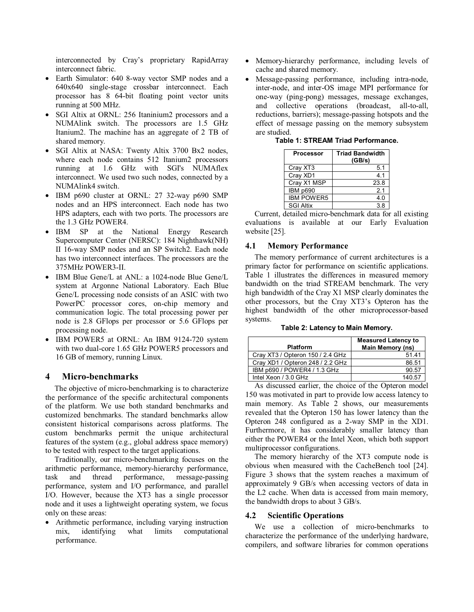interconnected by Cray's proprietary RapidArray interconnect fabric.

- Earth Simulator: 640 8-way vector SMP nodes and a 640x640 single-stage crossbar interconnect. Each processor has 8 64-bit floating point vector units running at 500 MHz.
- SGI Altix at ORNL: 256 Itaninium2 processors and a NUMAlink switch. The processors are 1.5 GHz Itanium2. The machine has an aggregate of 2 TB of shared memory.
- SGI Altix at NASA: Twenty Altix 3700 Bx2 nodes, where each node contains 512 Itanium2 processors running at 1.6 GHz with SGI's NUMAflex interconnect. We used two such nodes, connected by a NUMAlink4 switch.
- IBM p690 cluster at ORNL: 27 32-way p690 SMP nodes and an HPS interconnect. Each node has two HPS adapters, each with two ports. The processors are the 1.3 GHz POWER4.
- IBM SP at the National Energy Research Supercomputer Center (NERSC): 184 Nighthawk(NH) II 16-way SMP nodes and an SP Switch2. Each node has two interconnect interfaces. The processors are the 375MHz POWER3-II.
- IBM Blue Gene/L at ANL: a 1024-node Blue Gene/L system at Argonne National Laboratory. Each Blue Gene/L processing node consists of an ASIC with two PowerPC processor cores, on-chip memory and communication logic. The total processing power per node is 2.8 GFlops per processor or 5.6 GFlops per processing node.
- IBM POWER5 at ORNL: An IBM 9124-720 system with two dual-core 1.65 GHz POWER5 processors and 16 GB of memory, running Linux.

## **4 Micro-benchmarks**

The objective of micro-benchmarking is to characterize the performance of the specific architectural components of the platform. We use both standard benchmarks and customized benchmarks. The standard benchmarks allow consistent historical comparisons across platforms. The custom benchmarks permit the unique architectural features of the system (e.g., global address space memory) to be tested with respect to the target applications.

Traditionally, our micro-benchmarking focuses on the arithmetic performance, memory-hierarchy performance, task and thread performance, message-passing performance, system and I/O performance, and parallel I/O. However, because the XT3 has a single processor node and it uses a lightweight operating system, we focus only on these areas:

• Arithmetic performance, including varying instruction mix, identifying what limits computational mix, identifying what limits computational performance.

- Memory-hierarchy performance, including levels of cache and shared memory.
- Message-passing performance, including intra-node, inter-node, and inter-OS image MPI performance for one-way (ping-pong) messages, message exchanges, and collective operations (broadcast, all-to-all, reductions, barriers); message-passing hotspots and the effect of message passing on the memory subsystem are studied.

| <b>Processor</b>  | <b>Triad Bandwidth</b><br>(GB/s) |
|-------------------|----------------------------------|
| Cray XT3          | 5.1                              |
| Cray XD1          | 4.1                              |
| Cray X1 MSP       | 23.8                             |
| IBM p690          | 2.1                              |
| <b>IBM POWER5</b> | 4.0                              |
| <b>SGI Altix</b>  | 3.8                              |

**Table 1: STREAM Triad Performance.** 

Current, detailed micro-benchmark data for all existing evaluations is available at our Early Evaluation website [25].

## **4.1 Memory Performance**

The memory performance of current architectures is a primary factor for performance on scientific applications. Table 1 illustrates the differences in measured memory bandwidth on the triad STREAM benchmark. The very high bandwidth of the Cray X1 MSP clearly dominates the other processors, but the Cray XT3's Opteron has the highest bandwidth of the other microprocessor-based systems.

**Table 2: Latency to Main Memory.** 

|                                  | <b>Measured Latency to</b> |
|----------------------------------|----------------------------|
| <b>Platform</b>                  | Main Memory (ns)           |
| Cray XT3 / Opteron 150 / 2.4 GHz | 51.41                      |
| Cray XD1 / Opteron 248 / 2.2 GHz | 86.51                      |
| IBM p690 / POWER4 / 1.3 GHz      | 90.57                      |
| Intel Xeon / 3.0 GHz             | 140.57                     |

As discussed earlier, the choice of the Opteron model 150 was motivated in part to provide low access latency to main memory. As Table 2 shows, our measurements revealed that the Opteron 150 has lower latency than the Opteron 248 configured as a 2-way SMP in the XD1. Furthermore, it has considerably smaller latency than either the POWER4 or the Intel Xeon, which both support multiprocessor configurations.

The memory hierarchy of the XT3 compute node is obvious when measured with the CacheBench tool [24]. Figure 3 shows that the system reaches a maximum of approximately 9 GB/s when accessing vectors of data in the L2 cache. When data is accessed from main memory, the bandwidth drops to about 3 GB/s.

#### **4.2 Scientific Operations**

We use a collection of micro-benchmarks to characterize the performance of the underlying hardware, compilers, and software libraries for common operations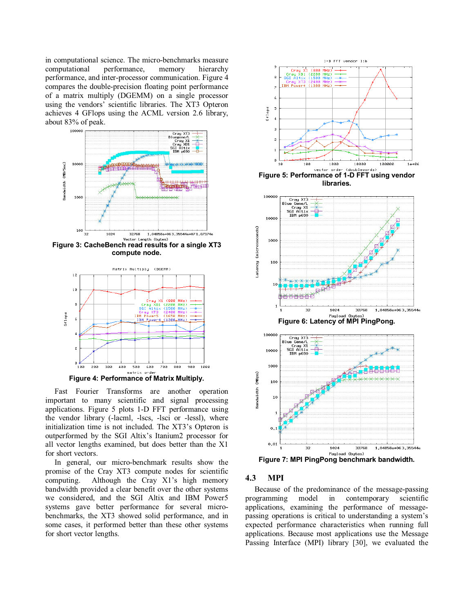in computational science. The micro-benchmarks measure computational performance, memory hierarchy performance, and inter-processor communication. Figure 4 compares the double-precision floating point performance of a matrix multiply (DGEMM) on a single processor using the vendors' scientific libraries. The XT3 Opteron achieves 4 GFlops using the ACML version 2.6 library, about 83% of peak.



**Figure 3: CacheBench read results for a single XT3 compute node.** 



Fast Fourier Transforms are another operation important to many scientific and signal processing applications. Figure 5 plots 1-D FFT performance using the vendor library (-lacml, -lscs, -lsci or -lessl), where initialization time is not included. The XT3's Opteron is outperformed by the SGI Altix's Itanium2 processor for all vector lengths examined, but does better than the X1 for short vectors.

In general, our micro-benchmark results show the promise of the Cray XT3 compute nodes for scientific computing. Although the Cray X1's high memory bandwidth provided a clear benefit over the other systems we considered, and the SGI Altix and IBM Power5 systems gave better performance for several microbenchmarks, the XT3 showed solid performance, and in some cases, it performed better than these other systems for short vector lengths.



**Figure 5: Performance of 1-D FFT using vendor libraries.** 



## **4.3 MPI**

Because of the predominance of the message-passing programming model in contemporary scientific applications, examining the performance of messagepassing operations is critical to understanding a system's expected performance characteristics when running full applications. Because most applications use the Message Passing Interface (MPI) library [30], we evaluated the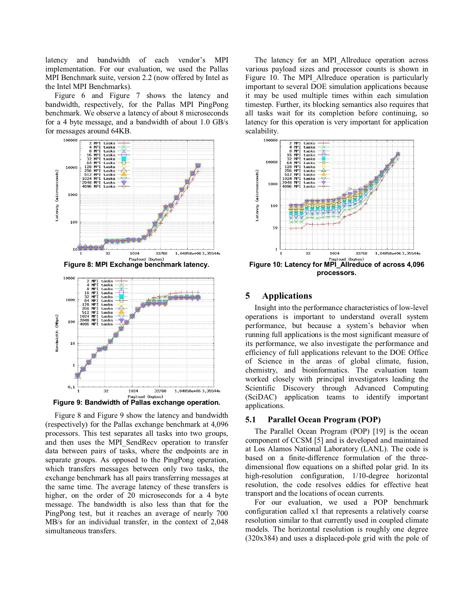latency and bandwidth of each vendor's MPI implementation. For our evaluation, we used the Pallas MPI Benchmark suite, version 2.2 (now offered by Intel as the Intel MPI Benchmarks).

Figure 6 and Figure 7 shows the latency and bandwidth, respectively, for the Pallas MPI PingPong benchmark. We observe a latency of about 8 microseconds for a 4 byte message, and a bandwidth of about 1.0 GB/s for messages around 64KB.





Figure 8 and Figure 9 show the latency and bandwidth (respectively) for the Pallas exchange benchmark at 4,096 processors. This test separates all tasks into two groups, and then uses the MPI\_SendRecv operation to transfer data between pairs of tasks, where the endpoints are in separate groups. As opposed to the PingPong operation, which transfers messages between only two tasks, the exchange benchmark has all pairs transferring messages at the same time. The average latency of these transfers is higher, on the order of 20 microseconds for a 4 byte message. The bandwidth is also less than that for the PingPong test, but it reaches an average of nearly 700 MB/s for an individual transfer, in the context of 2,048 simultaneous transfers.

The latency for an MPI\_Allreduce operation across various payload sizes and processor counts is shown in Figure 10. The MPI\_Allreduce operation is particularly important to several DOE simulation applications because it may be used multiple times within each simulation timestep. Further, its blocking semantics also requires that all tasks wait for its completion before continuing, so latency for this operation is very important for application scalability.



## **5 Applications**

Insight into the performance characteristics of low-level operations is important to understand overall system performance, but because a system's behavior when running full applications is the most significant measure of its performance, we also investigate the performance and efficiency of full applications relevant to the DOE Office of Science in the areas of global climate, fusion, chemistry, and bioinformatics. The evaluation team worked closely with principal investigators leading the Scientific Discovery through Advanced Computing (SciDAC) application teams to identify important applications.

## **5.1 Parallel Ocean Program (POP)**

The Parallel Ocean Program (POP) [19] is the ocean component of CCSM [5] and is developed and maintained at Los Alamos National Laboratory (LANL). The code is based on a finite-difference formulation of the threedimensional flow equations on a shifted polar grid. In its high-resolution configuration, 1/10-degree horizontal resolution, the code resolves eddies for effective heat transport and the locations of ocean currents.

For our evaluation, we used a POP benchmark configuration called x1 that represents a relatively coarse resolution similar to that currently used in coupled climate models. The horizontal resolution is roughly one degree (320x384) and uses a displaced-pole grid with the pole of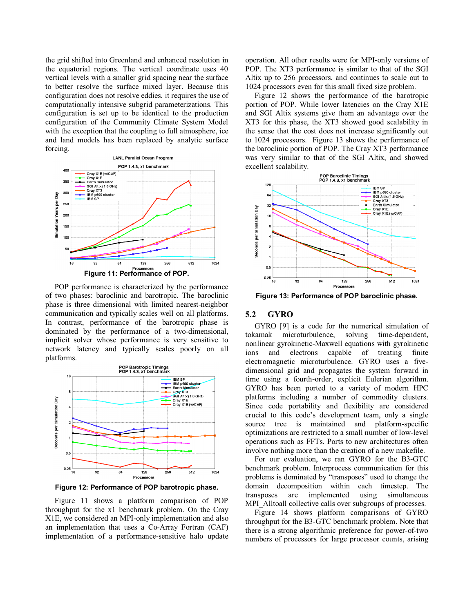the grid shifted into Greenland and enhanced resolution in the equatorial regions. The vertical coordinate uses 40 vertical levels with a smaller grid spacing near the surface to better resolve the surface mixed layer. Because this configuration does not resolve eddies, it requires the use of computationally intensive subgrid parameterizations. This configuration is set up to be identical to the production configuration of the Community Climate System Model with the exception that the coupling to full atmosphere, ice and land models has been replaced by analytic surface forcing.



POP performance is characterized by the performance of two phases: baroclinic and barotropic. The baroclinic phase is three dimensional with limited nearest-neighbor communication and typically scales well on all platforms. In contrast, performance of the barotropic phase is dominated by the performance of a two-dimensional, implicit solver whose performance is very sensitive to network latency and typically scales poorly on all platforms.



**Figure 12: Performance of POP barotropic phase.** 

Figure 11 shows a platform comparison of POP throughput for the x1 benchmark problem. On the Cray X1E, we considered an MPI-only implementation and also an implementation that uses a Co-Array Fortran (CAF) implementation of a performance-sensitive halo update

operation. All other results were for MPI-only versions of POP. The XT3 performance is similar to that of the SGI Altix up to 256 processors, and continues to scale out to 1024 processors even for this small fixed size problem.

Figure 12 shows the performance of the barotropic portion of POP. While lower latencies on the Cray X1E and SGI Altix systems give them an advantage over the XT3 for this phase, the XT3 showed good scalability in the sense that the cost does not increase significantly out to 1024 processors. Figure 13 shows the performance of the baroclinic portion of POP. The Cray XT3 performance was very similar to that of the SGI Altix, and showed excellent scalability.



**Figure 13: Performance of POP baroclinic phase.** 

## **5.2 GYRO**

GYRO [9] is a code for the numerical simulation of tokamak microturbulence, solving time-dependent, nonlinear gyrokinetic-Maxwell equations with gyrokinetic ions and electrons capable of treating finite electromagnetic microturbulence. GYRO uses a fivedimensional grid and propagates the system forward in time using a fourth-order, explicit Eulerian algorithm. GYRO has been ported to a variety of modern HPC platforms including a number of commodity clusters. Since code portability and flexibility are considered crucial to this code's development team, only a single source tree is maintained and platform-specific optimizations are restricted to a small number of low-level operations such as FFTs. Ports to new architectures often involve nothing more than the creation of a new makefile.

For our evaluation, we ran GYRO for the B3-GTC benchmark problem. Interprocess communication for this problems is dominated by "transposes" used to change the domain decomposition within each timestep. The transposes are implemented using simultaneous MPI Alltoall collective calls over subgroups of processes.

Figure 14 shows platform comparisons of GYRO throughput for the B3-GTC benchmark problem. Note that there is a strong algorithmic preference for power-of-two numbers of processors for large processor counts, arising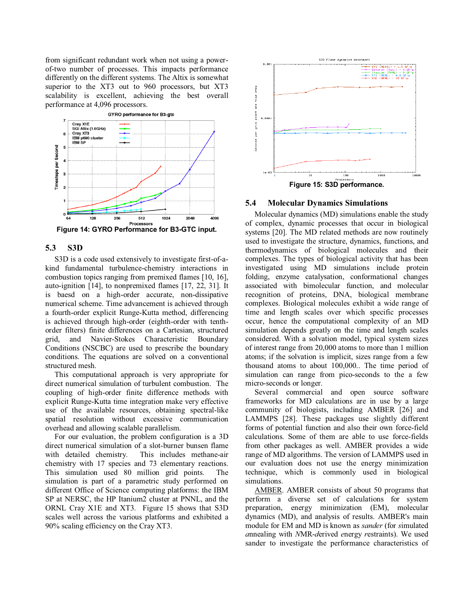from significant redundant work when not using a powerof-two number of processes. This impacts performance differently on the different systems. The Altix is somewhat superior to the XT3 out to 960 processors, but XT3 scalability is excellent, achieving the best overall performance at 4,096 processors.



#### **5.3 S3D**

S3D is a code used extensively to investigate first-of-akind fundamental turbulence-chemistry interactions in combustion topics ranging from premixed flames [10, 16], auto-ignition [14], to nonpremixed flames [17, 22, 31]. It is baesd on a high-order accurate, non-dissipative numerical scheme. Time advancement is achieved through a fourth-order explicit Runge-Kutta method, differencing is achieved through high-order (eighth-order with tenthorder filters) finite differences on a Cartesian, structured grid, and Navier-Stokes Characteristic Boundary Conditions (NSCBC) are used to prescribe the boundary conditions. The equations are solved on a conventional structured mesh.

This computational approach is very appropriate for direct numerical simulation of turbulent combustion. The coupling of high-order finite difference methods with explicit Runge-Kutta time integration make very effective use of the available resources, obtaining spectral-like spatial resolution without excessive communication overhead and allowing scalable parallelism.

For our evaluation, the problem configuration is a 3D direct numerical simulation of a slot-burner bunsen flame with detailed chemistry. This includes methane-air chemistry with 17 species and 73 elementary reactions. This simulation used 80 million grid points. The simulation is part of a parametric study performed on different Office of Science computing platforms: the IBM SP at NERSC, the HP Itanium2 cluster at PNNL, and the ORNL Cray X1E and XT3. Figure 15 shows that S3D scales well across the various platforms and exhibited a 90% scaling efficiency on the Cray XT3.



**Figure 15: S3D performance.** 

#### **5.4 Molecular Dynamics Simulations**

Molecular dynamics (MD) simulations enable the study of complex, dynamic processes that occur in biological systems [20]. The MD related methods are now routinely used to investigate the structure, dynamics, functions, and thermodynamics of biological molecules and their complexes. The types of biological activity that has been investigated using MD simulations include protein folding, enzyme catalysation, conformational changes associated with bimolecular function, and molecular recognition of proteins, DNA, biological membrane complexes. Biological molecules exhibit a wide range of time and length scales over which specific processes occur, hence the computational complexity of an MD simulation depends greatly on the time and length scales considered. With a solvation model, typical system sizes of interest range from 20,000 atoms to more than 1 million atoms; if the solvation is implicit, sizes range from a few thousand atoms to about 100,000.. The time period of simulation can range from pico-seconds to the a few micro-seconds or longer.

Several commercial and open source software frameworks for MD calculations are in use by a large community of biologists, including AMBER [26] and LAMMPS [28]. These packages use slightly different forms of potential function and also their own force-field calculations. Some of them are able to use force-fields from other packages as well. AMBER provides a wide range of MD algorithms. The version of LAMMPS used in our evaluation does not use the energy minimization technique, which is commonly used in biological simulations.

AMBER. AMBER consists of about 50 programs that perform a diverse set of calculations for system preparation, energy minimization (EM), molecular dynamics (MD), and analysis of results. AMBER's main module for EM and MD is known as *sander* (for *s*imulated *a*nnealing with *N*MR-*d*erived *e*nergy *r*estraints). We used sander to investigate the performance characteristics of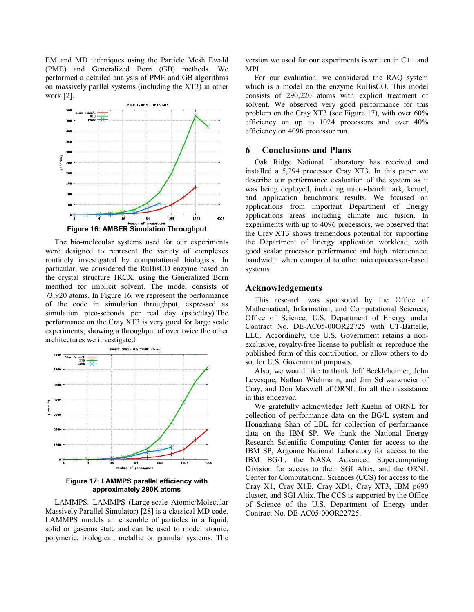EM and MD techniques using the Particle Mesh Ewald (PME) and Generalized Born (GB) methods. We performed a detailed analysis of PME and GB algorithms on massively parllel systems (including the XT3) in other work [2].



The bio-molecular systems used for our experiments were designed to represent the variety of complexes routinely investigated by computational biologists. In particular, we considered the RuBisCO enzyme based on the crystal structure 1RCX, using the Generalized Born menthod for implicit solvent. The model consists of 73,920 atoms. In Figure 16, we represent the performance of the code in simulation throughput, expressed as simulation pico-seconds per real day (psec/day).The performance on the Cray XT3 is very good for large scale experiments, showing a throughput of over twice the other architectures we investigated.



**Figure 17: LAMMPS parallel efficiency with approximately 290K atoms** 

LAMMPS. LAMMPS (Large-scale Atomic/Molecular Massively Parallel Simulator) [28] is a classical MD code. LAMMPS models an ensemble of particles in a liquid, solid or gaseous state and can be used to model atomic, polymeric, biological, metallic or granular systems. The

version we used for our experiments is written in C++ and MPI.

For our evaluation, we considered the RAQ system which is a model on the enzyme RuBisCO. This model consists of 290,220 atoms with explicit treatment of solvent. We observed very good performance for this problem on the Cray XT3 (see Figure 17), with over 60% efficiency on up to 1024 processors and over 40% efficiency on 4096 processor run.

## **6 Conclusions and Plans**

Oak Ridge National Laboratory has received and installed a 5,294 processor Cray XT3. In this paper we describe our performance evaluation of the system as it was being deployed, including micro-benchmark, kernel, and application benchmark results. We focused on applications from important Department of Energy applications areas including climate and fusion. In experiments with up to 4096 processors, we observed that the Cray XT3 shows tremendous potential for supporting the Department of Energy application workload, with good scalar processor performance and high interconnect bandwidth when compared to other microprocessor-based systems.

#### **Acknowledgements**

This research was sponsored by the Office of Mathematical, Information, and Computational Sciences, Office of Science, U.S. Department of Energy under Contract No. DE-AC05-00OR22725 with UT-Battelle, LLC. Accordingly, the U.S. Government retains a nonexclusive, royalty-free license to publish or reproduce the published form of this contribution, or allow others to do so, for U.S. Government purposes.

Also, we would like to thank Jeff Beckleheimer, John Levesque, Nathan Wichmann, and Jim Schwarzmeier of Cray, and Don Maxwell of ORNL for all their assistance in this endeavor.

We gratefully acknowledge Jeff Kuehn of ORNL for collection of performance data on the BG/L system and Hongzhang Shan of LBL for collection of performance data on the IBM SP. We thank the National Energy Research Scientific Computing Center for access to the IBM SP, Argonne National Laboratory for access to the IBM BG/L, the NASA Advanced Supercomputing Division for access to their SGI Altix, and the ORNL Center for Computational Sciences (CCS) for access to the Cray X1, Cray X1E, Cray XD1, Cray XT3, IBM p690 cluster, and SGI Altix. The CCS is supported by the Office of Science of the U.S. Department of Energy under Contract No. DE-AC05-00OR22725.